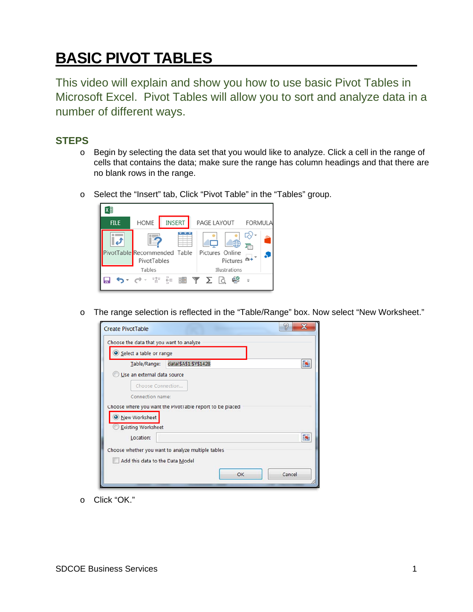## **BASIC PIVOT TABLES**

This video will explain and show you how to use basic Pivot Tables in Microsoft Excel. Pivot Tables will allow you to sort and analyze data in a number of different ways.

## **STEPS**

- o Begin by selecting the data set that you would like to analyze. Click a cell in the range of cells that contains the data; make sure the range has column headings and that there are no blank rows in the range.
- o Select the "Insert" tab, Click "Pivot Table" in the "Tables" group.



o The range selection is reflected in the "Table/Range" box. Now select "New Worksheet."



o Click "OK."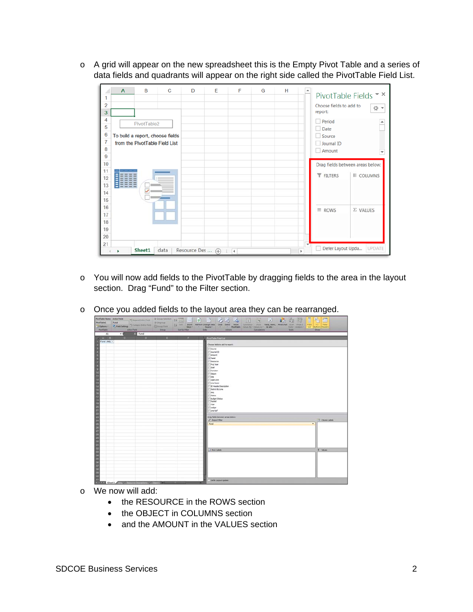o A grid will appear on the new spreadsheet this is the Empty Pivot Table and a series of data fields and quadrants will appear on the right side called the PivotTable Field List.



- o You will now add fields to the PivotTable by dragging fields to the area in the layout section. Drag "Fund" to the Filter section.
- o Once you added fields to the layout area they can be rearranged.

| <b>PhrofTable Name: Active Field:</b><br><b>PhonetTableS</b><br><b>Distance</b><br>Fund<br>Postfable.<br>Greca<br>Active Field<br>Sert & Filter | Humattenter + Supplement 14 11   2   3   1   1   2   2   3   1   1   2   2   2   2<br>临血<br>Former 9 features of comparison that Clomation 11 to have haven change that the base of the base with the state of the state of the state of the state of the state of the state of the state of the state of the state of the<br>Deta<br>Aduny.<br>Calculations<br>Taun:<br>Shew: |
|-------------------------------------------------------------------------------------------------------------------------------------------------|--------------------------------------------------------------------------------------------------------------------------------------------------------------------------------------------------------------------------------------------------------------------------------------------------------------------------------------------------------------------------------|
| <b>18</b> Fund<br>$-6$<br>A1<br><b>DESCRIPTION</b><br><b>TALES</b><br>and the second state of the second                                        |                                                                                                                                                                                                                                                                                                                                                                                |
| <b>COLUMN</b><br>Fund (Alt) -                                                                                                                   | President Feld Link                                                                                                                                                                                                                                                                                                                                                            |
|                                                                                                                                                 | Choose fields to add to report:                                                                                                                                                                                                                                                                                                                                                |
|                                                                                                                                                 | Source                                                                                                                                                                                                                                                                                                                                                                         |
|                                                                                                                                                 | <b>Doumai 2D</b>                                                                                                                                                                                                                                                                                                                                                               |
|                                                                                                                                                 | Amount.<br>J Fund                                                                                                                                                                                                                                                                                                                                                              |
|                                                                                                                                                 | Resource                                                                                                                                                                                                                                                                                                                                                                       |
|                                                                                                                                                 | <b>Proj Year</b>                                                                                                                                                                                                                                                                                                                                                               |
|                                                                                                                                                 | Goal                                                                                                                                                                                                                                                                                                                                                                           |
|                                                                                                                                                 | <b>Punction</b><br>Chiect                                                                                                                                                                                                                                                                                                                                                      |
|                                                                                                                                                 | <b>Stage</b>                                                                                                                                                                                                                                                                                                                                                                   |
|                                                                                                                                                 | Coer Link                                                                                                                                                                                                                                                                                                                                                                      |
|                                                                                                                                                 | Line Descr<br>E Header Description                                                                                                                                                                                                                                                                                                                                             |
|                                                                                                                                                 | Detrict BU Line                                                                                                                                                                                                                                                                                                                                                                |
|                                                                                                                                                 | Sec.                                                                                                                                                                                                                                                                                                                                                                           |
|                                                                                                                                                 | distant.                                                                                                                                                                                                                                                                                                                                                                       |
|                                                                                                                                                 | <b>Budget Status</b><br>Posted                                                                                                                                                                                                                                                                                                                                                 |
|                                                                                                                                                 | Tear.                                                                                                                                                                                                                                                                                                                                                                          |
|                                                                                                                                                 | Ledger                                                                                                                                                                                                                                                                                                                                                                         |
|                                                                                                                                                 | Line Ref                                                                                                                                                                                                                                                                                                                                                                       |
|                                                                                                                                                 | Drag fields between areas below:                                                                                                                                                                                                                                                                                                                                               |
|                                                                                                                                                 | Columbia<br>Paget Film                                                                                                                                                                                                                                                                                                                                                         |
|                                                                                                                                                 | Pund<br>$\bullet$                                                                                                                                                                                                                                                                                                                                                              |
|                                                                                                                                                 |                                                                                                                                                                                                                                                                                                                                                                                |
|                                                                                                                                                 |                                                                                                                                                                                                                                                                                                                                                                                |
|                                                                                                                                                 |                                                                                                                                                                                                                                                                                                                                                                                |
|                                                                                                                                                 |                                                                                                                                                                                                                                                                                                                                                                                |
|                                                                                                                                                 |                                                                                                                                                                                                                                                                                                                                                                                |
|                                                                                                                                                 |                                                                                                                                                                                                                                                                                                                                                                                |
|                                                                                                                                                 | E. Values<br>I. I Roy Libris                                                                                                                                                                                                                                                                                                                                                   |
|                                                                                                                                                 |                                                                                                                                                                                                                                                                                                                                                                                |
|                                                                                                                                                 |                                                                                                                                                                                                                                                                                                                                                                                |
|                                                                                                                                                 |                                                                                                                                                                                                                                                                                                                                                                                |
|                                                                                                                                                 |                                                                                                                                                                                                                                                                                                                                                                                |
|                                                                                                                                                 |                                                                                                                                                                                                                                                                                                                                                                                |
|                                                                                                                                                 |                                                                                                                                                                                                                                                                                                                                                                                |
|                                                                                                                                                 |                                                                                                                                                                                                                                                                                                                                                                                |
| H. F. R. P. Sheeti Corp., Basouce Descretors., Clientia H.                                                                                      | Defer Layout Undate                                                                                                                                                                                                                                                                                                                                                            |

- o We now will add:
	- the RESOURCE in the ROWS section
	- the OBJECT in COLUMNS section
	- and the AMOUNT in the VALUES section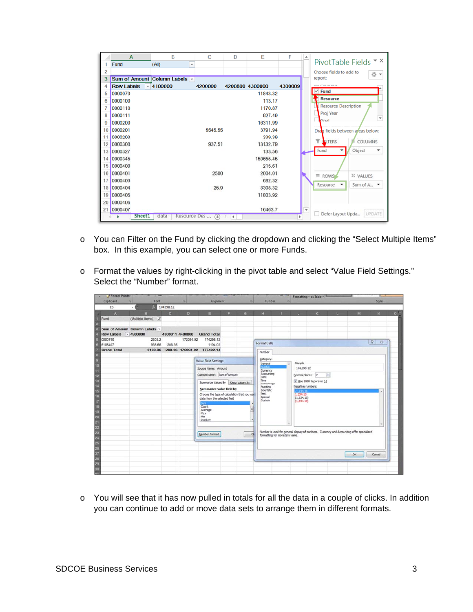|    | $\mathbf{A}$      | B                                 | C       | D                    | Ε               | F       |   | PivotTable Fields $\overline{\phantom{a}}$ $\times$ |
|----|-------------------|-----------------------------------|---------|----------------------|-----------------|---------|---|-----------------------------------------------------|
| 1  | Fund              | (AII)<br>$\overline{\phantom{a}}$ |         |                      |                 |         |   |                                                     |
| 2  |                   |                                   |         |                      |                 |         |   | Choose fields to add to<br>╬ ▼                      |
| 3  |                   | Sum of Amount Column Labels v     |         |                      |                 |         |   | report:                                             |
| 4  | <b>Row Labels</b> | $-4100000$                        | 4200000 |                      | 4200800 4300000 | 4300009 |   | $\cdots$ <i><b>Particularly</b></i>                 |
| 5  | 0000070           |                                   |         |                      | 11843.32        |         |   | $\vee$ Fund                                         |
| 6  | 0000100           |                                   |         |                      | 113.17          |         |   | <b>Resource</b>                                     |
| 7  | 0000110           |                                   |         |                      | 1170.87         |         |   | <b>Resource Description</b>                         |
| 8  | 0000111           |                                   |         |                      | 927.49          |         |   | Proj Year<br>≂                                      |
| 9  | 0000200           |                                   |         |                      | 16311.99        |         |   | Goal                                                |
| 10 | 0000201           |                                   | 5545.55 |                      | 3791.94         |         |   | Dran fields between areas below:                    |
| 11 | 0000203           |                                   |         |                      | 339.39          |         |   |                                                     |
| 12 | 0000300           |                                   | 937.51  |                      | 13132.79        |         |   | ۳<br><b>ALTERS</b><br>COLUMNS                       |
| 13 | 0000327           |                                   |         |                      | 133.56          |         |   | Fund<br>Object<br>۰                                 |
| 14 | 0000345           |                                   |         |                      | 150655.45       |         |   |                                                     |
| 15 | 0000400           |                                   |         |                      | 215.61          |         |   |                                                     |
| 16 | 0000401           |                                   | 2500    |                      | 2004.01         |         |   | $\equiv$ ROWS<br>$\Sigma$ VALUES                    |
| 17 | 0000403           |                                   |         |                      | 682.32          |         |   |                                                     |
| 18 | 0000404           |                                   | 25.9    |                      | 8308.32         |         |   | Resource<br>Sum of A. $\blacktriangleright$<br>۰.   |
| 19 | 0000405           |                                   |         |                      | 11803.92        |         |   |                                                     |
| 20 | 0000406           |                                   |         |                      |                 |         |   |                                                     |
| 21 | 0000407           |                                   |         |                      | 16463.7         |         | ٠ |                                                     |
|    | <b>Sheet1</b>     | Resource Des<br>data              | $(+)$   | $\blacktriangleleft$ |                 |         |   | Defer Layout Upda<br>UPDATE                         |

- o You can Filter on the Fund by clicking the dropdown and clicking the "Select Multiple Items" box. In this example, you can select one or more Funds.
- o Format the values by right-clicking in the pivot table and select "Value Field Settings." Select the "Number" format.

| Clipboard<br>ES    | Font<br>٠                                   | $f = 174298.12$                                                                                                                                                                                                                                         |           | Alignment                  |   |              | Number.                                                                                                                                                                                                                                                                                                                                                                         |                                |    |    |    |    | <b>Styles</b>             |               |
|--------------------|---------------------------------------------|---------------------------------------------------------------------------------------------------------------------------------------------------------------------------------------------------------------------------------------------------------|-----------|----------------------------|---|--------------|---------------------------------------------------------------------------------------------------------------------------------------------------------------------------------------------------------------------------------------------------------------------------------------------------------------------------------------------------------------------------------|--------------------------------|----|----|----|----|---------------------------|---------------|
| $\mathbf{A}$       | B                                           | $\mathbf{C}$                                                                                                                                                                                                                                            | D         | E.                         | F | $\mathbf{G}$ | H                                                                                                                                                                                                                                                                                                                                                                               |                                | u. | K. | n. | M  | N                         | $0^{\square}$ |
| Fund               | (Multiple Items) JT                         |                                                                                                                                                                                                                                                         |           |                            |   |              |                                                                                                                                                                                                                                                                                                                                                                                 |                                |    |    |    |    |                           |               |
| <b>Row Labels</b>  | Sum of Amount Column Labels -<br>$-4300000$ | 4300011 4400000                                                                                                                                                                                                                                         |           | <b>Grand Total</b>         |   |              |                                                                                                                                                                                                                                                                                                                                                                                 |                                |    |    |    |    |                           |               |
| 0000740<br>6105407 | 2203.2<br>985.66                            | 208.36                                                                                                                                                                                                                                                  | 172094.92 | 174298.12<br>1194.02       |   |              | Format Cells                                                                                                                                                                                                                                                                                                                                                                    |                                |    |    |    |    | $\mathcal{D}$<br>$\Sigma$ |               |
| <b>Grand Total</b> | 3188.86                                     |                                                                                                                                                                                                                                                         |           | 208.36 172094.92 175492.14 |   |              | Number                                                                                                                                                                                                                                                                                                                                                                          |                                |    |    |    |    |                           |               |
|                    |                                             | Source Name: Amount<br>Qustom Name: Sum of Amount<br>Summarize Values By Show Values As<br>Summarize value field by<br>Choose the type of calculation that you wall<br>data from the selected field<br>am.<br>Count<br>Average<br>Max<br>Min<br>Product |           |                            |   |              | General<br>Wumber<br>174, 298, 12<br>Currency<br>Accounting<br>ᆃ<br>Decimal places: 2<br>Date<br>Time<br>V Use 1000 Separator (,)<br>Percentage<br>Negative numbers:<br>Fraction<br>Scientific<br>1.234.50<br>Text<br>1,234.10<br>Special<br>(1, 234, 10)<br>Custom<br>(1, 234, 10)<br>Number is used for general display of numbers. Currency and Accounting offer specialized |                                |    |    |    |    |                           |               |
|                    |                                             |                                                                                                                                                                                                                                                         |           | Number Format              |   |              | $\alpha$                                                                                                                                                                                                                                                                                                                                                                        | formatting for monetary value. |    |    |    | OK | Cancel                    |               |

o You will see that it has now pulled in totals for all the data in a couple of clicks. In addition you can continue to add or move data sets to arrange them in different formats.